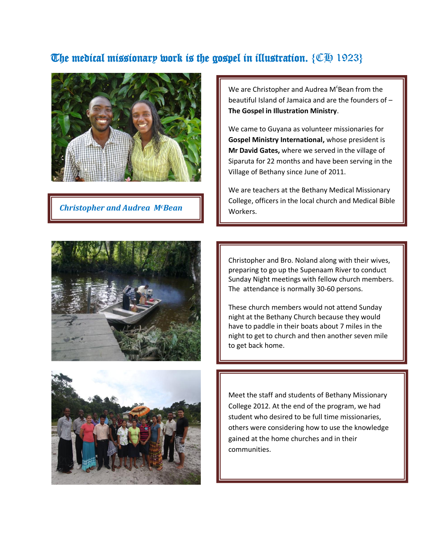## The medical missionary work is the gospel in illustration.  $\{\mathbb{C}\}\$  1923}



**Christopher and Audrea M<sup>c</sup>Bean NWorkers.** 

We are Christopher and Audrea M<sup>c</sup>Bean from the beautiful Island of Jamaica and are the founders of – **The Gospel in Illustration Ministry**.

We came to Guyana as volunteer missionaries for **Gospel Ministry International,** whose president is **Mr David Gates,** where we served in the village of Siparuta for 22 months and have been serving in the Village of Bethany since June of 2011.

We are teachers at the Bethany Medical Missionary College, officers in the local church and Medical Bible



Christopher and Bro. Noland along with their wives, preparing to go up the Supenaam River to conduct Sunday Night meetings with fellow church members. The attendance is normally 30-60 persons.

These church members would not attend Sunday night at the Bethany Church because they would have to paddle in their boats about 7 miles in the night to get to church and then another seven mile to get back home.



Meet the staff and students of Bethany Missionary College 2012. At the end of the program, we had student who desired to be full time missionaries, others were considering how to use the knowledge gained at the home churches and in their communities.